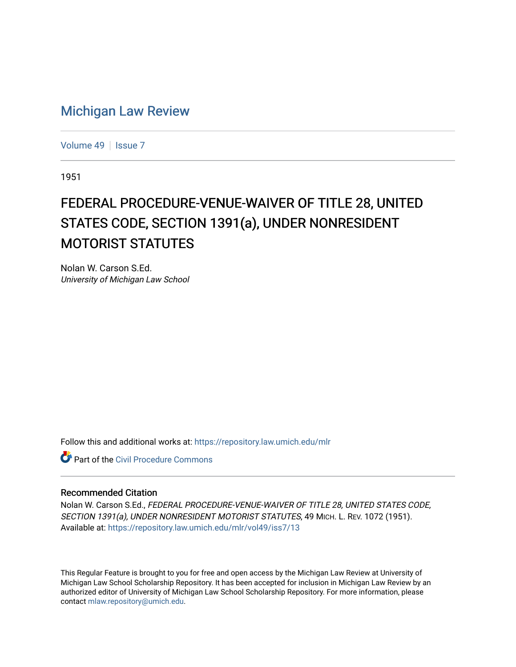## [Michigan Law Review](https://repository.law.umich.edu/mlr)

[Volume 49](https://repository.law.umich.edu/mlr/vol49) | [Issue 7](https://repository.law.umich.edu/mlr/vol49/iss7)

1951

## FEDERAL PROCEDURE-VENUE-WAIVER OF TITLE 28, UNITED STATES CODE, SECTION 1391(a), UNDER NONRESIDENT MOTORIST STATUTES

Nolan W. Carson S.Ed. University of Michigan Law School

Follow this and additional works at: [https://repository.law.umich.edu/mlr](https://repository.law.umich.edu/mlr?utm_source=repository.law.umich.edu%2Fmlr%2Fvol49%2Fiss7%2F13&utm_medium=PDF&utm_campaign=PDFCoverPages) 

**C** Part of the Civil Procedure Commons

## Recommended Citation

Nolan W. Carson S.Ed., FEDERAL PROCEDURE-VENUE-WAIVER OF TITLE 28, UNITED STATES CODE, SECTION 1391(a), UNDER NONRESIDENT MOTORIST STATUTES, 49 MICH. L. REV. 1072 (1951). Available at: [https://repository.law.umich.edu/mlr/vol49/iss7/13](https://repository.law.umich.edu/mlr/vol49/iss7/13?utm_source=repository.law.umich.edu%2Fmlr%2Fvol49%2Fiss7%2F13&utm_medium=PDF&utm_campaign=PDFCoverPages) 

This Regular Feature is brought to you for free and open access by the Michigan Law Review at University of Michigan Law School Scholarship Repository. It has been accepted for inclusion in Michigan Law Review by an authorized editor of University of Michigan Law School Scholarship Repository. For more information, please contact [mlaw.repository@umich.edu](mailto:mlaw.repository@umich.edu).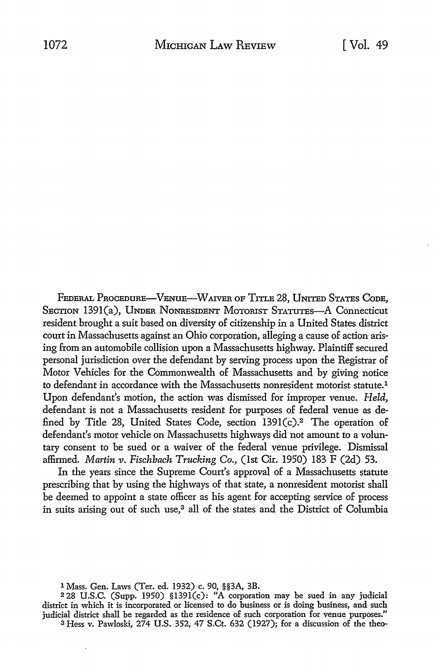FEDERAL PROCEDURE-VENUE-WAIVER OF TITLE 28, UNITED STATES CODE, SECTION 1391(a), UNDER NONRESIDENT MOTORIST STATUTES-A Connecticut resident brought a suit based on diversity of citizenship in a United States district court in Massachusetts against an Ohio corporation, alleging a cause of action arising from an automobile collision upon a Massachusetts highway. Plaintiff secured personal jurisdiction over the defendant by serving process upon the Registrar of Motor Vehicles for the Commonwealth of Massachusetts and by giving notice to defendant in accordance with the Massachusetts nonresident motorist statute.<sup>1</sup> Upon defendant's motion, the action was dismissed for improper venue. *Held,*  defendant is not a Massachusetts resident for purposes of federal venue as defined by Title 28, United States Code, section 139l(c).2 The operation of defendant's motor vehicle on Massachusetts highways did not amount to a voluntary consent to be sued or a waiver of the federal venue privilege. Dismissal affirmed. *Martin v. Fischbach Trucking Co.,* (1st Cir. 1950) 183 F (2d) 53.

In the years since the Supreme Court's approval of a Massachusetts statute prescribing that by using the highways of that state, a nonresident motorist shall be deemed to appoint a state officer as his agent for accepting service of process in suits arising out of such use,<sup>3</sup> all of the states and the District of Columbia

1 Mass. Gen. Laws (Ter. ed. 1932) c. 90, §§3A, 3B.

<sup>2</sup>28 U.S.C. (Supp. 1950) §139l(c): "A corporation may be sued in any judicial district in which it is incorporated or licensed to do business or is doing business, and such judicial district shall be regarded as the residence of such corporation for venue purposes." 3 Hess v. Pawloski, 274 U.S. 352, 47 S.Ct. 632 (1927); for a discussion of the theo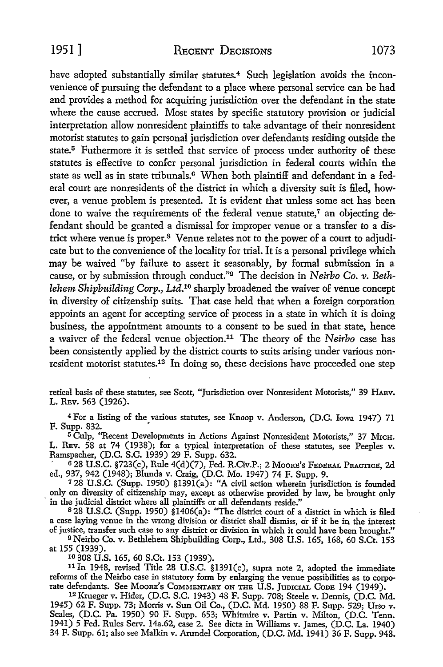have adopted substantially similar statutes.<sup>4</sup> Such legislation avoids the inconvenience of pursuing the defendant to a place where personal service can be had and provides a method for acquiring jurisdiction over the defendant in the state where the cause accrued. Most states by specific statutory provision or judicial interpretation allow nonresident plaintiffs to take advantage of their nonresident motorist statutes to gain personal jurisdiction over defendants residing outside the state.<sup>5</sup> Futhermore it is settled that service of process under authority of these statutes is effective to confer personal jurisdiction in federal courts within the state as well as in state tribunals.<sup>6</sup> When both plaintiff and defendant in a federal court are nonresidents of the district in which a diversity suit is filed, however, a venue problem is presented. It is evident that unless some act has been done to waive the requirements of the federal venue statute,<sup>7</sup> an objecting defendant should be granted a dismissal for improper venue or a transfer to a district where venue is proper.8 Venue relates not to the power of a court to adjudicate but to the convenience of the locality for trial. It is a personal privilege which may be waived ''by failure to assert it seasonably, by formal submission in a cause, or by submission through conduct."9 The decision in *Neirbo Co. v. Bethlehem Shipbuilding Corp.,* Ltd.10 sharply broadened the waiver of venue concept in diversity of citizenship suits. That case held that when a foreign corporation appoints an agent for accepting service of process in a state in which it is doing business, the appointment amounts to a consent to be sued in that state, hence a waiver of the federal venue objection.<sup>11</sup>The theory of the *Neirho* case has been consistently applied by the district courts to suits arising under various nonresident motorist statutes.12 In doing so, these decisions have proceeded one step

retical basis of these statutes, see Scott, "Jurisdiction over Nonresident Motorists," 39 HARV. L. REv. 563 (1926).

<sup>4</sup>For a listing of the various statutes, see Knoop v. Anderson, (D.C. Iowa 1947) 71 F. Supp. 832. •

<sup>5</sup> Culp, "Recent Developments in Actions Against Nonresident Motorists," 37 Місн. L. REv. 58 at 74 (1938); for a typical interpretation of these statutes, see Peeples v. Ramspacher, (D.C. S.C. 1939) 29 F. Supp. 632.

' G 28 U.S.C. §723(c), Rule 4(d)(7), Fed. R.Civ.P.; 2 MooRE's FEDERAL PRACTICE, 2d ed., 937, 942 (1948); Blunda v. Craig, (D.C. Mo. 1947) 74 F. Supp. 9.

<sup>7</sup> 28 U.S.C. (Supp. 1950) §l39l(a): "A civil action wherein jurisdiction is founded only on diversity of citizenship may, except as otherwise provided by law, be brought only in the judicial district where all plaintiffs or all defendants reside."

<sup>8</sup>28 U.S.C. (Supp. 1950) §1406(a): "The district court of a district in which is filed a case laying venue in the wrong division or district shall dismiss, or if it be in the interest of justice, transfer such case to any district or division in which it could have been brought."

<sup>9</sup>Neirbo Co. v. Bethlehem Shipbuilding Corp., Ltd., 308 U.S. 165, 168, 60 S.Ct. 153 at 155 (1939).

10 308 U.S. 165, 60 S.Ct. 153 (1939).

<sup>11</sup>In 1948, revised Title 28 U.S.C. §139l(c), supra note 2, adopted the immediate reforms of the Neirbo case in statutory form by enlarging the venue possibilities as to corporate defendants. See MooRE's COMMENTARY ON THE U.S. JUDICIAL CooE 194 (1949). 12 Krueger v. Hider, (D.C. S.C. 1943) 48 F. Supp. 708; Steele v. Dennis, (D.C. Md.

1945) 62 F. Supp. 73; Morris v. Sun Oil Co., (D.C. Md. 1950) 88 F. Supp. 529; Urso v. Scales, (D.C. Pa. 1950) 90 F. Supp. 653; Whitmire v. Partin v. Milton, (D.C. Tenn. 1941) 5 Fed. Rules Serv. 14a.62, case 2. See dicta in Williams v. James, (D.C. La. 1940) 34 F. Supp. 61; also see Malkin v. Arundel Corporation, (D.C. Md. 1941) 36 F. Supp. 948.